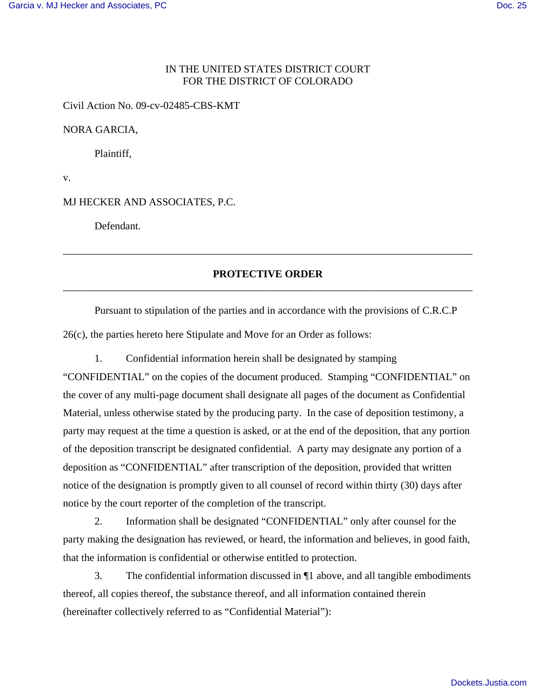# IN THE UNITED STATES DISTRICT COURT FOR THE DISTRICT OF COLORADO

Civil Action No. 09-cv-02485-CBS-KMT

NORA GARCIA,

Plaintiff,

v.

MJ HECKER AND ASSOCIATES, P.C.

Defendant.

# **PROTECTIVE ORDER** \_\_\_\_\_\_\_\_\_\_\_\_\_\_\_\_\_\_\_\_\_\_\_\_\_\_\_\_\_\_\_\_\_\_\_\_\_\_\_\_\_\_\_\_\_\_\_\_\_\_\_\_\_\_\_\_\_\_\_\_\_\_\_\_\_\_\_\_\_\_\_\_\_\_\_\_\_\_

\_\_\_\_\_\_\_\_\_\_\_\_\_\_\_\_\_\_\_\_\_\_\_\_\_\_\_\_\_\_\_\_\_\_\_\_\_\_\_\_\_\_\_\_\_\_\_\_\_\_\_\_\_\_\_\_\_\_\_\_\_\_\_\_\_\_\_\_\_\_\_\_\_\_\_\_\_\_

Pursuant to stipulation of the parties and in accordance with the provisions of C.R.C.P 26(c), the parties hereto here Stipulate and Move for an Order as follows:

1. Confidential information herein shall be designated by stamping "CONFIDENTIAL" on the copies of the document produced. Stamping "CONFIDENTIAL" on the cover of any multi-page document shall designate all pages of the document as Confidential Material, unless otherwise stated by the producing party. In the case of deposition testimony, a party may request at the time a question is asked, or at the end of the deposition, that any portion of the deposition transcript be designated confidential. A party may designate any portion of a deposition as "CONFIDENTIAL" after transcription of the deposition, provided that written

notice of the designation is promptly given to all counsel of record within thirty (30) days after notice by the court reporter of the completion of the transcript.

2. Information shall be designated "CONFIDENTIAL" only after counsel for the party making the designation has reviewed, or heard, the information and believes, in good faith, that the information is confidential or otherwise entitled to protection.

3. The confidential information discussed in ¶1 above, and all tangible embodiments thereof, all copies thereof, the substance thereof, and all information contained therein (hereinafter collectively referred to as "Confidential Material"):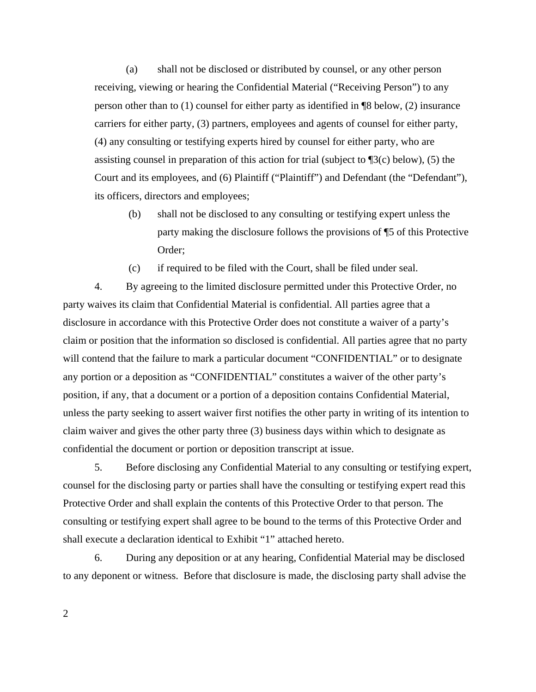(a) shall not be disclosed or distributed by counsel, or any other person receiving, viewing or hearing the Confidential Material ("Receiving Person") to any person other than to (1) counsel for either party as identified in ¶8 below, (2) insurance carriers for either party, (3) partners, employees and agents of counsel for either party, (4) any consulting or testifying experts hired by counsel for either party, who are assisting counsel in preparation of this action for trial (subject to ¶3(c) below), (5) the Court and its employees, and (6) Plaintiff ("Plaintiff") and Defendant (the "Defendant"), its officers, directors and employees;

(b) shall not be disclosed to any consulting or testifying expert unless the party making the disclosure follows the provisions of ¶5 of this Protective Order;

(c) if required to be filed with the Court, shall be filed under seal.

4. By agreeing to the limited disclosure permitted under this Protective Order, no party waives its claim that Confidential Material is confidential. All parties agree that a disclosure in accordance with this Protective Order does not constitute a waiver of a party's claim or position that the information so disclosed is confidential. All parties agree that no party will contend that the failure to mark a particular document "CONFIDENTIAL" or to designate any portion or a deposition as "CONFIDENTIAL" constitutes a waiver of the other party's position, if any, that a document or a portion of a deposition contains Confidential Material, unless the party seeking to assert waiver first notifies the other party in writing of its intention to claim waiver and gives the other party three (3) business days within which to designate as confidential the document or portion or deposition transcript at issue.

5. Before disclosing any Confidential Material to any consulting or testifying expert, counsel for the disclosing party or parties shall have the consulting or testifying expert read this Protective Order and shall explain the contents of this Protective Order to that person. The consulting or testifying expert shall agree to be bound to the terms of this Protective Order and shall execute a declaration identical to Exhibit "1" attached hereto.

6. During any deposition or at any hearing, Confidential Material may be disclosed to any deponent or witness. Before that disclosure is made, the disclosing party shall advise the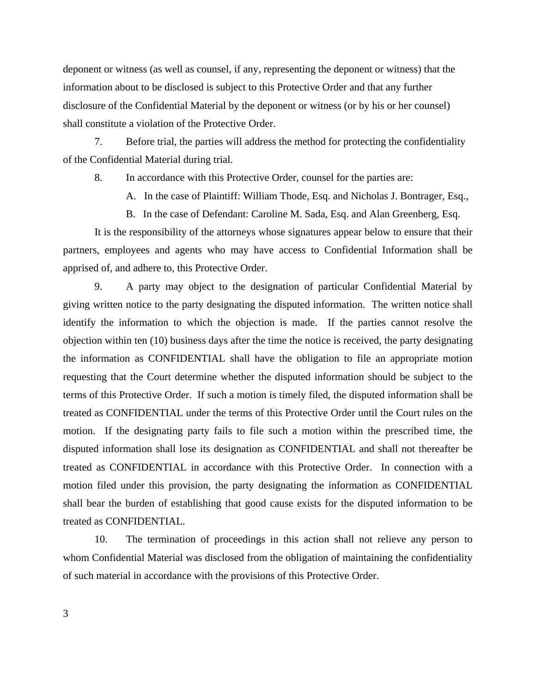deponent or witness (as well as counsel, if any, representing the deponent or witness) that the information about to be disclosed is subject to this Protective Order and that any further disclosure of the Confidential Material by the deponent or witness (or by his or her counsel) shall constitute a violation of the Protective Order.

7. Before trial, the parties will address the method for protecting the confidentiality of the Confidential Material during trial.

8. In accordance with this Protective Order, counsel for the parties are:

A. In the case of Plaintiff: William Thode, Esq. and Nicholas J. Bontrager, Esq.,

B. In the case of Defendant: Caroline M. Sada, Esq. and Alan Greenberg, Esq.

It is the responsibility of the attorneys whose signatures appear below to ensure that their partners, employees and agents who may have access to Confidential Information shall be apprised of, and adhere to, this Protective Order.

9. A party may object to the designation of particular Confidential Material by giving written notice to the party designating the disputed information. The written notice shall identify the information to which the objection is made. If the parties cannot resolve the objection within ten (10) business days after the time the notice is received, the party designating the information as CONFIDENTIAL shall have the obligation to file an appropriate motion requesting that the Court determine whether the disputed information should be subject to the terms of this Protective Order. If such a motion is timely filed, the disputed information shall be treated as CONFIDENTIAL under the terms of this Protective Order until the Court rules on the motion. If the designating party fails to file such a motion within the prescribed time, the disputed information shall lose its designation as CONFIDENTIAL and shall not thereafter be treated as CONFIDENTIAL in accordance with this Protective Order. In connection with a motion filed under this provision, the party designating the information as CONFIDENTIAL shall bear the burden of establishing that good cause exists for the disputed information to be treated as CONFIDENTIAL.

10. The termination of proceedings in this action shall not relieve any person to whom Confidential Material was disclosed from the obligation of maintaining the confidentiality of such material in accordance with the provisions of this Protective Order.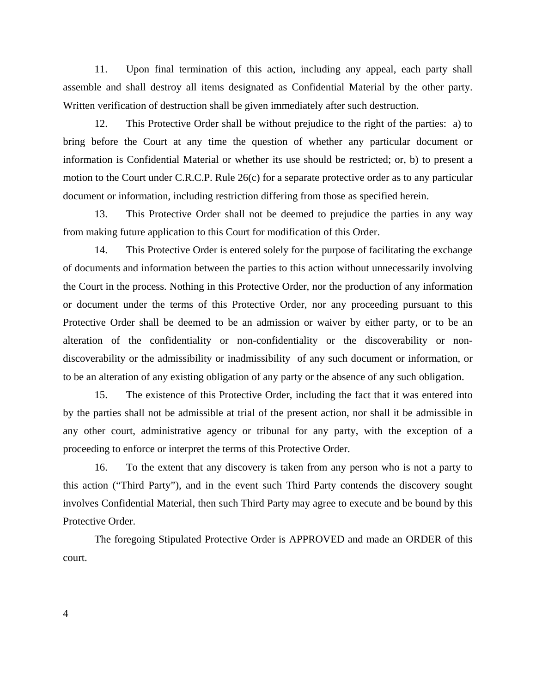11. Upon final termination of this action, including any appeal, each party shall assemble and shall destroy all items designated as Confidential Material by the other party. Written verification of destruction shall be given immediately after such destruction.

12. This Protective Order shall be without prejudice to the right of the parties: a) to bring before the Court at any time the question of whether any particular document or information is Confidential Material or whether its use should be restricted; or, b) to present a motion to the Court under C.R.C.P. Rule 26(c) for a separate protective order as to any particular document or information, including restriction differing from those as specified herein.

13. This Protective Order shall not be deemed to prejudice the parties in any way from making future application to this Court for modification of this Order.

14. This Protective Order is entered solely for the purpose of facilitating the exchange of documents and information between the parties to this action without unnecessarily involving the Court in the process. Nothing in this Protective Order, nor the production of any information or document under the terms of this Protective Order, nor any proceeding pursuant to this Protective Order shall be deemed to be an admission or waiver by either party, or to be an alteration of the confidentiality or non-confidentiality or the discoverability or nondiscoverability or the admissibility or inadmissibility of any such document or information, or to be an alteration of any existing obligation of any party or the absence of any such obligation.

15. The existence of this Protective Order, including the fact that it was entered into by the parties shall not be admissible at trial of the present action, nor shall it be admissible in any other court, administrative agency or tribunal for any party, with the exception of a proceeding to enforce or interpret the terms of this Protective Order.

16. To the extent that any discovery is taken from any person who is not a party to this action ("Third Party"), and in the event such Third Party contends the discovery sought involves Confidential Material, then such Third Party may agree to execute and be bound by this Protective Order.

The foregoing Stipulated Protective Order is APPROVED and made an ORDER of this court.